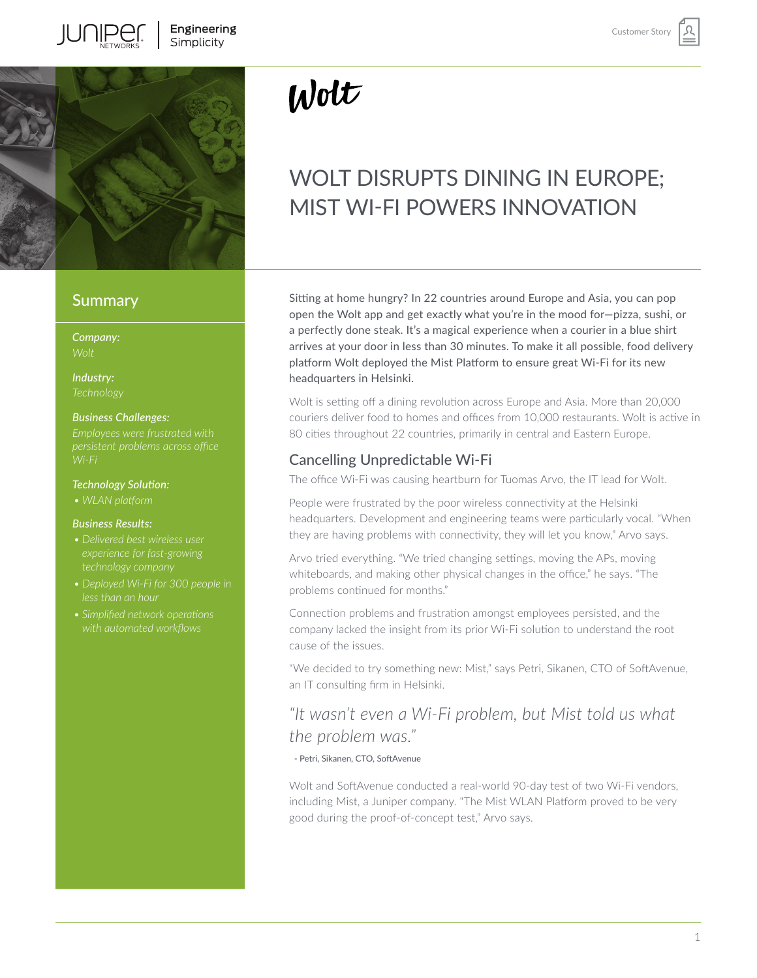

### **Summary**

*Company:*

*Industry:*

### *Business Challenges:*

*Employees were frustrated with Wi-Fi*

### *Technology Solution:*

*• WLAN platform* 

### *Business Results:*

- *• Delivered best wireless user*
- *• Deployed Wi-Fi for 300 people in*
- *• Simplified network operations with automated workflows*

# $W$ olt

# WOLT DISRUPTS DINING IN EUROPE; MIST WI-FI POWERS INNOVATION

Sitting at home hungry? In 22 countries around Europe and Asia, you can pop open the Wolt app and get exactly what you're in the mood for—pizza, sushi, or a perfectly done steak. It's a magical experience when a courier in a blue shirt arrives at your door in less than 30 minutes. To make it all possible, food delivery platform Wolt deployed the Mist Platform to ensure great Wi-Fi for its new headquarters in Helsinki.

Wolt is setting off a dining revolution across Europe and Asia. More than 20,000 couriers deliver food to homes and offices from 10,000 restaurants. Wolt is active in 80 cities throughout 22 countries, primarily in central and Eastern Europe.

# Cancelling Unpredictable Wi-Fi

The office Wi-Fi was causing heartburn for Tuomas Arvo, the IT lead for Wolt.

People were frustrated by the poor wireless connectivity at the Helsinki headquarters. Development and engineering teams were particularly vocal. "When they are having problems with connectivity, they will let you know," Arvo says.

Arvo tried everything. "We tried changing settings, moving the APs, moving whiteboards, and making other physical changes in the office," he says. "The problems continued for months."

Connection problems and frustration amongst employees persisted, and the company lacked the insight from its prior Wi-Fi solution to understand the root cause of the issues.

"We decided to try something new: Mist," says Petri, Sikanen, CTO of SoftAvenue, an IT consulting firm in Helsinki.

# *"It wasn't even a Wi-Fi problem, but Mist told us what the problem was."*

- Petri, Sikanen, CTO, SoftAvenue

Wolt and SoftAvenue conducted a real-world 90-day test of two Wi-Fi vendors, including Mist, a Juniper company. "The Mist WLAN Platform proved to be very good during the proof-of-concept test," Arvo says.